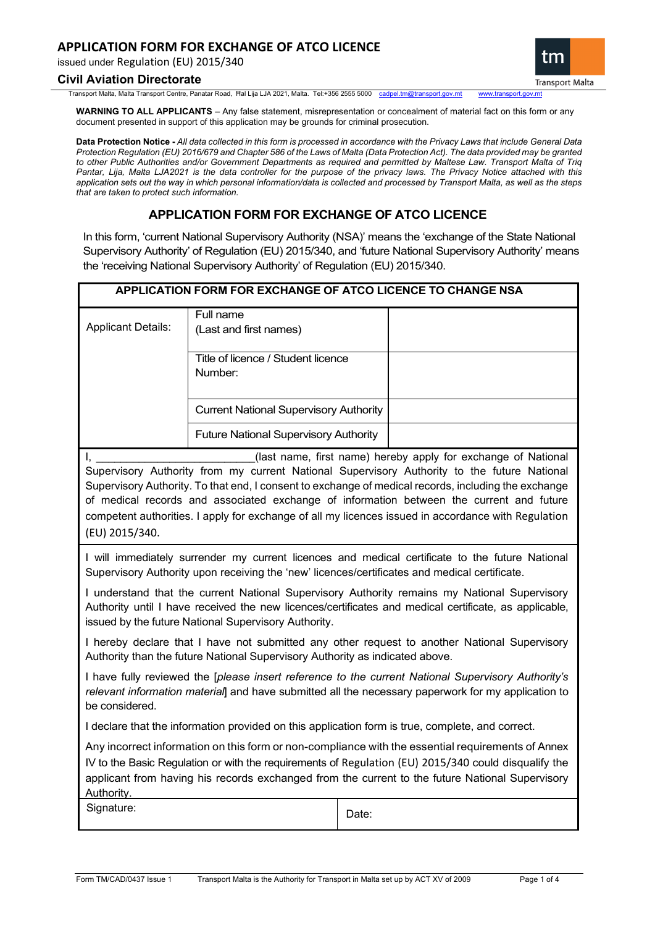# **APPLICATION FORM FOR EXCHANGE OF ATCO LICENCE**

issued under Regulation (EU) 2015/340

### **Civil Aviation Directorate**

Transport Malta, Malta Transport Centre, Panatar Road, Ħal Lija LJA 2021, Malta. Tel:+356 2555 5000 [cadpel.tm@transport.gov.mt](mailto:cadpel.tm@transport.gov.mt) www.transport.gov.mt

**WARNING TO ALL APPLICANTS** – Any false statement, misrepresentation or concealment of material fact on this form or any document presented in support of this application may be grounds for criminal prosecution.

**Data Protection Notice -** *All data collected in this form is processed in accordance with the Privacy Laws that include General Data Protection Regulation (EU) 2016/679 and Chapter 586 of the Laws of Malta (Data Protection Act). The data provided may be granted to other Public Authorities and/or Government Departments as required and permitted by Maltese Law. Transport Malta of Triq Pantar, Lija, Malta LJA2021 is the data controller for the purpose of the privacy laws. The Privacy Notice attached with this application sets out the way in which personal information/data is collected and processed by Transport Malta, as well as the steps that are taken to protect such information.*

# **APPLICATION FORM FOR EXCHANGE OF ATCO LICENCE**

In this form, 'current National Supervisory Authority (NSA)' means the 'exchange of the State National Supervisory Authority' of Regulation (EU) 2015/340, and 'future National Supervisory Authority' means the 'receiving National Supervisory Authority' of Regulation (EU) 2015/340.

|                                                                                                                                                                                                                                                                                                                                                                                                                                                                                                 | APPLICATION FORM FOR EXCHANGE OF ATCO LICENCE TO CHANGE NSA                                   |       |                                                                                                                                                                                                           |  |  |  |
|-------------------------------------------------------------------------------------------------------------------------------------------------------------------------------------------------------------------------------------------------------------------------------------------------------------------------------------------------------------------------------------------------------------------------------------------------------------------------------------------------|-----------------------------------------------------------------------------------------------|-------|-----------------------------------------------------------------------------------------------------------------------------------------------------------------------------------------------------------|--|--|--|
| <b>Applicant Details:</b>                                                                                                                                                                                                                                                                                                                                                                                                                                                                       | Full name<br>(Last and first names)                                                           |       |                                                                                                                                                                                                           |  |  |  |
|                                                                                                                                                                                                                                                                                                                                                                                                                                                                                                 | Title of licence / Student licence<br>Number:                                                 |       |                                                                                                                                                                                                           |  |  |  |
|                                                                                                                                                                                                                                                                                                                                                                                                                                                                                                 | <b>Current National Supervisory Authority</b>                                                 |       |                                                                                                                                                                                                           |  |  |  |
|                                                                                                                                                                                                                                                                                                                                                                                                                                                                                                 | <b>Future National Supervisory Authority</b>                                                  |       |                                                                                                                                                                                                           |  |  |  |
| (last name, first name) hereby apply for exchange of National<br>I.<br>Supervisory Authority from my current National Supervisory Authority to the future National<br>Supervisory Authority. To that end, I consent to exchange of medical records, including the exchange<br>of medical records and associated exchange of information between the current and future<br>competent authorities. I apply for exchange of all my licences issued in accordance with Regulation<br>(EU) 2015/340. |                                                                                               |       |                                                                                                                                                                                                           |  |  |  |
|                                                                                                                                                                                                                                                                                                                                                                                                                                                                                                 | Supervisory Authority upon receiving the 'new' licences/certificates and medical certificate. |       | I will immediately surrender my current licences and medical certificate to the future National                                                                                                           |  |  |  |
| I understand that the current National Supervisory Authority remains my National Supervisory<br>Authority until I have received the new licences/certificates and medical certificate, as applicable,<br>issued by the future National Supervisory Authority.                                                                                                                                                                                                                                   |                                                                                               |       |                                                                                                                                                                                                           |  |  |  |
|                                                                                                                                                                                                                                                                                                                                                                                                                                                                                                 | Authority than the future National Supervisory Authority as indicated above.                  |       | I hereby declare that I have not submitted any other request to another National Supervisory                                                                                                              |  |  |  |
| be considered.                                                                                                                                                                                                                                                                                                                                                                                                                                                                                  |                                                                                               |       | I have fully reviewed the [please insert reference to the current National Supervisory Authority's<br>relevant information material] and have submitted all the necessary paperwork for my application to |  |  |  |
| I declare that the information provided on this application form is true, complete, and correct.                                                                                                                                                                                                                                                                                                                                                                                                |                                                                                               |       |                                                                                                                                                                                                           |  |  |  |
| Any incorrect information on this form or non-compliance with the essential requirements of Annex<br>IV to the Basic Regulation or with the requirements of Regulation (EU) 2015/340 could disqualify the<br>applicant from having his records exchanged from the current to the future National Supervisory<br>Authority.                                                                                                                                                                      |                                                                                               |       |                                                                                                                                                                                                           |  |  |  |
| Signature:                                                                                                                                                                                                                                                                                                                                                                                                                                                                                      |                                                                                               | Date: |                                                                                                                                                                                                           |  |  |  |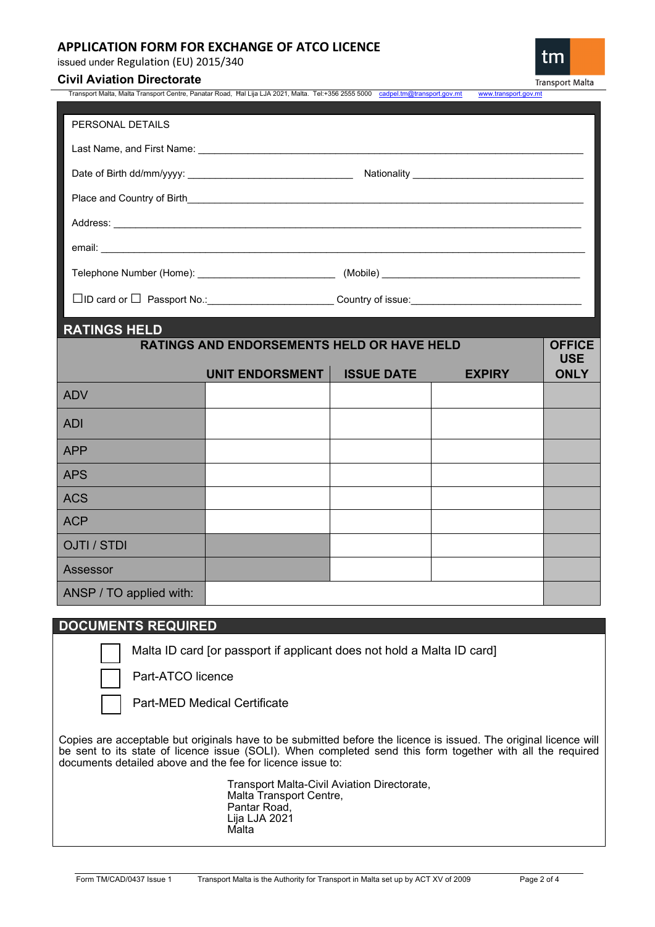# **APPLICATION FORM FOR EXCHANGE OF ATCO LICENCE**

issued under Regulation (EU) 2015/340

## **Civil Aviation Directorate**

**Transport Malta** 

tm

| PERSONAL DETAILS                                                                                                                          |                                                                                                               |                   |               |                                            |
|-------------------------------------------------------------------------------------------------------------------------------------------|---------------------------------------------------------------------------------------------------------------|-------------------|---------------|--------------------------------------------|
|                                                                                                                                           |                                                                                                               |                   |               |                                            |
|                                                                                                                                           |                                                                                                               |                   |               |                                            |
|                                                                                                                                           | Place and Country of Birth Countries and Country of Birth Countries and Countries and Countries and Countries |                   |               |                                            |
|                                                                                                                                           |                                                                                                               |                   |               |                                            |
|                                                                                                                                           |                                                                                                               |                   |               |                                            |
|                                                                                                                                           |                                                                                                               |                   |               |                                            |
|                                                                                                                                           |                                                                                                               |                   |               |                                            |
|                                                                                                                                           |                                                                                                               |                   |               |                                            |
|                                                                                                                                           |                                                                                                               |                   |               |                                            |
|                                                                                                                                           | <b>RATINGS AND ENDORSEMENTS HELD OR HAVE HELD</b>                                                             |                   |               |                                            |
|                                                                                                                                           | UNIT ENDORSMENT                                                                                               | <b>ISSUE DATE</b> | <b>EXPIRY</b> |                                            |
|                                                                                                                                           |                                                                                                               |                   |               |                                            |
|                                                                                                                                           |                                                                                                               |                   |               |                                            |
|                                                                                                                                           |                                                                                                               |                   |               |                                            |
|                                                                                                                                           |                                                                                                               |                   |               |                                            |
|                                                                                                                                           |                                                                                                               |                   |               |                                            |
|                                                                                                                                           |                                                                                                               |                   |               |                                            |
|                                                                                                                                           |                                                                                                               |                   |               |                                            |
| <b>RATINGS HELD</b><br><b>ADV</b><br><b>ADI</b><br><b>APP</b><br><b>APS</b><br><b>ACS</b><br><b>ACP</b><br><b>OJTI / STDI</b><br>Assessor |                                                                                                               |                   |               | <b>OFFICE</b><br><b>USE</b><br><b>ONLY</b> |

# **DOCUMENTS REQUIRED**

Malta ID card [or passport if applicant does not hold a Malta ID card]

Part-ATCO licence

Part-MED Medical Certificate

Copies are acceptable but originals have to be submitted before the licence is issued. The original licence will be sent to its state of licence issue (SOLI). When completed send this form together with all the required documents detailed above and the fee for licence issue to:

> Transport Malta-Civil Aviation Directorate, Malta Transport Centre, Pantar Road, Lija LJA 2021 Malta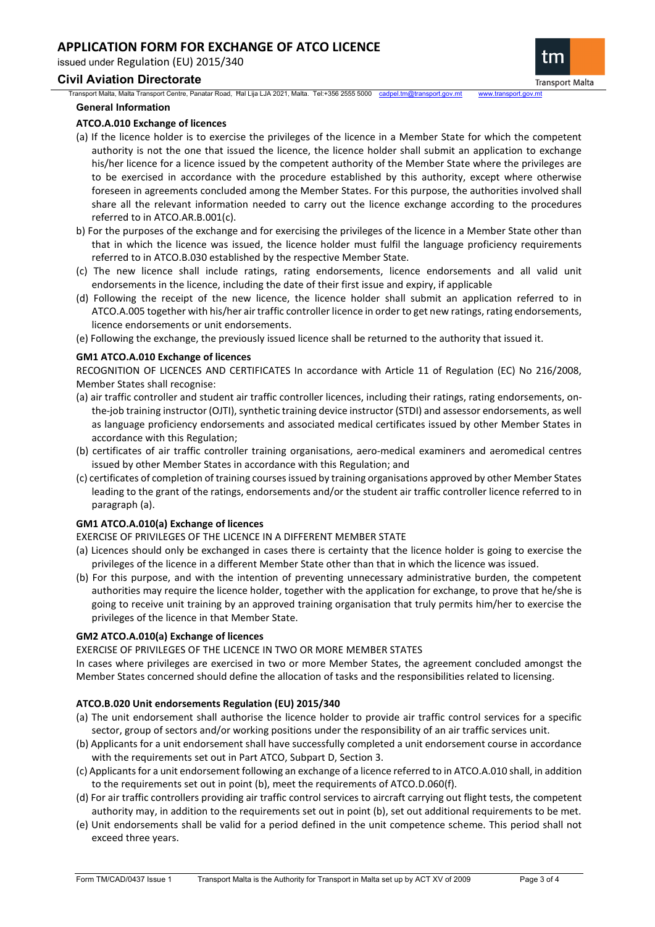# **APPLICATION FORM FOR EXCHANGE OF ATCO LICENCE**

issued under Regulation (EU) 2015/340

## **Civil Aviation Directorate**

Transport Malta, Malta Transport Centre, Panatar Road, Ħal Lija LJA 2021, Malta. Tel:+356 2555 5000 [cadpel.tm@transport.gov.mt](mailto:cadpel.tm@transport.gov.mt) www.transport.gov.mt **General Information**

## **ATCO.A.010 Exchange of licences**

- (a) If the licence holder is to exercise the privileges of the licence in a Member State for which the competent authority is not the one that issued the licence, the licence holder shall submit an application to exchange his/her licence for a licence issued by the competent authority of the Member State where the privileges are to be exercised in accordance with the procedure established by this authority, except where otherwise foreseen in agreements concluded among the Member States. For this purpose, the authorities involved shall share all the relevant information needed to carry out the licence exchange according to the procedures referred to in ATCO.AR.B.001(c).
- b) For the purposes of the exchange and for exercising the privileges of the licence in a Member State other than that in which the licence was issued, the licence holder must fulfil the language proficiency requirements referred to in ATCO.B.030 established by the respective Member State.
- (c) The new licence shall include ratings, rating endorsements, licence endorsements and all valid unit endorsements in the licence, including the date of their first issue and expiry, if applicable
- (d) Following the receipt of the new licence, the licence holder shall submit an application referred to in ATCO.A.005 together with his/her air traffic controller licence in order to get new ratings, rating endorsements, licence endorsements or unit endorsements.
- (e) Following the exchange, the previously issued licence shall be returned to the authority that issued it.

## **GM1 ATCO.A.010 Exchange of licences**

RECOGNITION OF LICENCES AND CERTIFICATES In accordance with Article 11 of Regulation (EC) No 216/2008, Member States shall recognise:

- (a) air traffic controller and student air traffic controller licences, including their ratings, rating endorsements, onthe-job training instructor (OJTI), synthetic training device instructor (STDI) and assessor endorsements, as well as language proficiency endorsements and associated medical certificates issued by other Member States in accordance with this Regulation;
- (b) certificates of air traffic controller training organisations, aero-medical examiners and aeromedical centres issued by other Member States in accordance with this Regulation; and
- (c) certificates of completion of training courses issued by training organisations approved by other Member States leading to the grant of the ratings, endorsements and/or the student air traffic controller licence referred to in paragraph (a).

### **GM1 ATCO.A.010(a) Exchange of licences**

EXERCISE OF PRIVILEGES OF THE LICENCE IN A DIFFERENT MEMBER STATE

- (a) Licences should only be exchanged in cases there is certainty that the licence holder is going to exercise the privileges of the licence in a different Member State other than that in which the licence was issued.
- (b) For this purpose, and with the intention of preventing unnecessary administrative burden, the competent authorities may require the licence holder, together with the application for exchange, to prove that he/she is going to receive unit training by an approved training organisation that truly permits him/her to exercise the privileges of the licence in that Member State.

### **GM2 ATCO.A.010(a) Exchange of licences**

EXERCISE OF PRIVILEGES OF THE LICENCE IN TWO OR MORE MEMBER STATES

In cases where privileges are exercised in two or more Member States, the agreement concluded amongst the Member States concerned should define the allocation of tasks and the responsibilities related to licensing.

## **ATCO.B.020 Unit endorsements Regulation (EU) 2015/340**

- (a) The unit endorsement shall authorise the licence holder to provide air traffic control services for a specific sector, group of sectors and/or working positions under the responsibility of an air traffic services unit.
- (b) Applicants for a unit endorsement shall have successfully completed a unit endorsement course in accordance with the requirements set out in Part ATCO, Subpart D, Section 3.
- (c) Applicants for a unit endorsement following an exchange of a licence referred to in ATCO.A.010 shall, in addition to the requirements set out in point (b), meet the requirements of ATCO.D.060(f).
- (d) For air traffic controllers providing air traffic control services to aircraft carrying out flight tests, the competent authority may, in addition to the requirements set out in point (b), set out additional requirements to be met.
- (e) Unit endorsements shall be valid for a period defined in the unit competence scheme. This period shall not exceed three years.